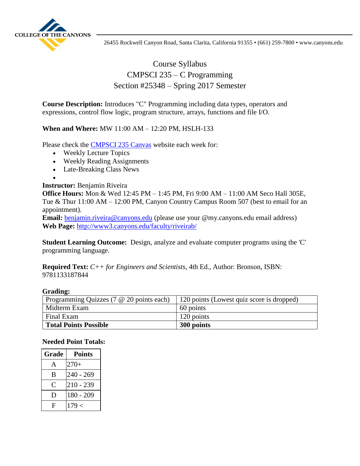

# Course Syllabus CMPSCI 235 – C Programming Section #25348 – Spring 2017 Semester

**Course Description:** Introduces "C" Programming including data types, operators and expressions, control flow logic, program structure, arrays, functions and file I/O.

## **When and Where:** MW 11:00 AM – 12:20 PM, HSLH-133

Please check the [CMPSCI 235 Canvas](https://coc.instructure.com/login/canvas) website each week for:

- Weekly Lecture Topics
- Weekly Reading Assignments
- Late-Breaking Class News
- $\bullet$

### **Instructor:** Benjamin Riveira

**Office Hours:** Mon & Wed 12:45 PM – 1:45 PM, Fri 9:00 AM – 11:00 AM Seco Hall 305E, Tue & Thur 11:00 AM – 12:00 PM, Canyon Country Campus Room 507 (best to email for an appointment).

**Email:** [benjamin.riveira@canyons.edu](mailto:benjamin.riveira@canyons.edu) (please use your @my.canyons.edu email address) **Web Page:** <http://www3.canyons.edu/faculty/riveirab/>

**Student Learning Outcome:** Design, analyze and evaluate computer programs using the 'C' programming language.

**Required Text:** *C++ for Engineers and Scientists*, 4th Ed., Author: Bronson, ISBN: 9781133187844

#### **Grading:**

| Programming Quizzes (7 @ 20 points each) | 120 points (Lowest quiz score is dropped) |
|------------------------------------------|-------------------------------------------|
| Midterm Exam                             | 60 points                                 |
| Final Exam                               | 120 points                                |
| <b>Total Points Possible</b>             | 300 points                                |

### **Needed Point Totals:**

| Grade        | <b>Points</b> |
|--------------|---------------|
| A            | $270+$        |
| B            | $240 - 269$   |
| $\mathsf{C}$ | $210 - 239$   |
| Ð            | $180 - 209$   |
| F            | 179 <         |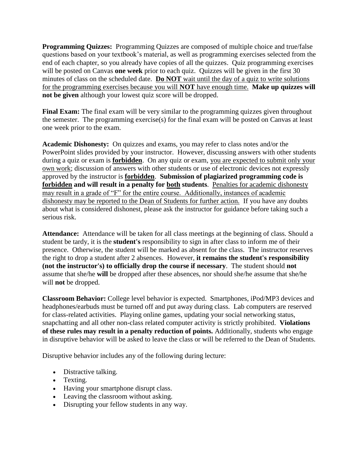**Programming Quizzes:** Programming Quizzes are composed of multiple choice and true/false questions based on your textbook's material, as well as programming exercises selected from the end of each chapter, so you already have copies of all the quizzes. Quiz programming exercises will be posted on Canvas **one week** prior to each quiz. Quizzes will be given in the first 30 minutes of class on the scheduled date. **Do NOT** wait until the day of a quiz to write solutions for the programming exercises because you will **NOT** have enough time. **Make up quizzes will not be given** although your lowest quiz score will be dropped.

**Final Exam:** The final exam will be very similar to the programming quizzes given throughout the semester. The programming exercise(s) for the final exam will be posted on Canvas at least one week prior to the exam.

**Academic Dishonesty:** On quizzes and exams, you may refer to class notes and/or the PowerPoint slides provided by your instructor. However, discussing answers with other students during a quiz or exam is **forbidden**. On any quiz or exam, you are expected to submit only your own work; discussion of answers with other students or use of electronic devices not expressly approved by the instructor is **forbidden**. **Submission of plagiarized programming code is forbidden and will result in a penalty for both students**. Penalties for academic dishonesty may result in a grade of "F" for the entire course. Additionally, instances of academic dishonesty may be reported to the Dean of Students for further action. If you have any doubts about what is considered dishonest, please ask the instructor for guidance before taking such a serious risk.

**Attendance:** Attendance will be taken for all class meetings at the beginning of class. Should a student be tardy, it is the **student's** responsibility to sign in after class to inform me of their presence. Otherwise, the student will be marked as absent for the class. The instructor reserves the right to drop a student after 2 absences. However, **it remains the student's responsibility (not the instructor's) to officially drop the course if necessary**. The student should **not** assume that she/he **will** be dropped after these absences, nor should she/he assume that she/he will **not** be dropped.

**Classroom Behavior:** College level behavior is expected. Smartphones, iPod/MP3 devices and headphones/earbuds must be turned off and put away during class. Lab computers are reserved for class-related activities. Playing online games, updating your social networking status, snapchatting and all other non-class related computer activity is strictly prohibited. **Violations of these rules may result in a penalty reduction of points.** Additionally, students who engage in disruptive behavior will be asked to leave the class or will be referred to the Dean of Students.

Disruptive behavior includes any of the following during lecture:

- Distractive talking.
- Texting.
- Having your smartphone disrupt class.
- Leaving the classroom without asking.
- Disrupting your fellow students in any way.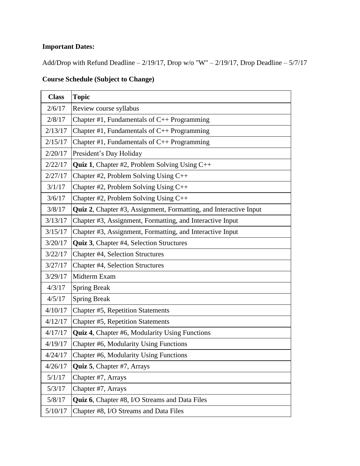# **Important Dates:**

Add/Drop with Refund Deadline –  $2/19/17$ , Drop w/o "W" –  $2/19/17$ , Drop Deadline –  $5/7/17$ 

# **Course Schedule (Subject to Change)**

| <b>Class</b> | <b>Topic</b>                                                             |
|--------------|--------------------------------------------------------------------------|
| 2/6/17       | Review course syllabus                                                   |
| 2/8/17       | Chapter #1, Fundamentals of $C_{++}$ Programming                         |
| 2/13/17      | Chapter #1, Fundamentals of $C_{++}$ Programming                         |
| 2/15/17      | Chapter #1, Fundamentals of $C_{++}$ Programming                         |
| 2/20/17      | President's Day Holiday                                                  |
| 2/22/17      | <b>Quiz 1, Chapter #2, Problem Solving Using C++</b>                     |
| 2/27/17      | Chapter #2, Problem Solving Using $C++$                                  |
| 3/1/17       | Chapter #2, Problem Solving Using C++                                    |
| 3/6/17       | Chapter #2, Problem Solving Using C++                                    |
| 3/8/17       | <b>Quiz 2, Chapter #3, Assignment, Formatting, and Interactive Input</b> |
| 3/13/17      | Chapter #3, Assignment, Formatting, and Interactive Input                |
| 3/15/17      | Chapter #3, Assignment, Formatting, and Interactive Input                |
| 3/20/17      | Quiz 3, Chapter #4, Selection Structures                                 |
| 3/22/17      | Chapter #4, Selection Structures                                         |
| 3/27/17      | Chapter #4, Selection Structures                                         |
| 3/29/17      | Midterm Exam                                                             |
| 4/3/17       | <b>Spring Break</b>                                                      |
| 4/5/17       | <b>Spring Break</b>                                                      |
| 4/10/17      | Chapter #5, Repetition Statements                                        |
| 4/12/17      | Chapter #5, Repetition Statements                                        |
| 4/17/17      | <b>Quiz 4, Chapter #6, Modularity Using Functions</b>                    |
| 4/19/17      | Chapter #6, Modularity Using Functions                                   |
| 4/24/17      | Chapter #6, Modularity Using Functions                                   |
| 4/26/17      | <b>Quiz 5, Chapter #7, Arrays</b>                                        |
| 5/1/17       | Chapter #7, Arrays                                                       |
| 5/3/17       | Chapter #7, Arrays                                                       |
| 5/8/17       | <b>Quiz 6, Chapter #8, I/O Streams and Data Files</b>                    |
| 5/10/17      | Chapter #8, I/O Streams and Data Files                                   |